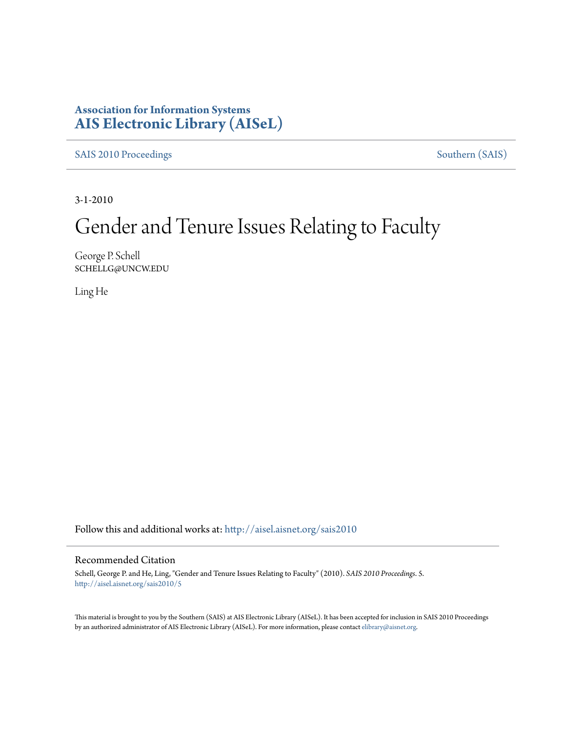### **Association for Information Systems [AIS Electronic Library \(AISeL\)](http://aisel.aisnet.org?utm_source=aisel.aisnet.org%2Fsais2010%2F5&utm_medium=PDF&utm_campaign=PDFCoverPages)**

[SAIS 2010 Proceedings](http://aisel.aisnet.org/sais2010?utm_source=aisel.aisnet.org%2Fsais2010%2F5&utm_medium=PDF&utm_campaign=PDFCoverPages) [Southern \(SAIS\)](http://aisel.aisnet.org/sais?utm_source=aisel.aisnet.org%2Fsais2010%2F5&utm_medium=PDF&utm_campaign=PDFCoverPages)

3-1-2010

# Gender and Tenure Issues Relating to Faculty

George P. Schell SCHELLG@UNCW.EDU

Ling He

Follow this and additional works at: [http://aisel.aisnet.org/sais2010](http://aisel.aisnet.org/sais2010?utm_source=aisel.aisnet.org%2Fsais2010%2F5&utm_medium=PDF&utm_campaign=PDFCoverPages)

#### Recommended Citation

Schell, George P. and He, Ling, "Gender and Tenure Issues Relating to Faculty" (2010). *SAIS 2010 Proceedings*. 5. [http://aisel.aisnet.org/sais2010/5](http://aisel.aisnet.org/sais2010/5?utm_source=aisel.aisnet.org%2Fsais2010%2F5&utm_medium=PDF&utm_campaign=PDFCoverPages)

This material is brought to you by the Southern (SAIS) at AIS Electronic Library (AISeL). It has been accepted for inclusion in SAIS 2010 Proceedings by an authorized administrator of AIS Electronic Library (AISeL). For more information, please contact [elibrary@aisnet.org](mailto:elibrary@aisnet.org%3E).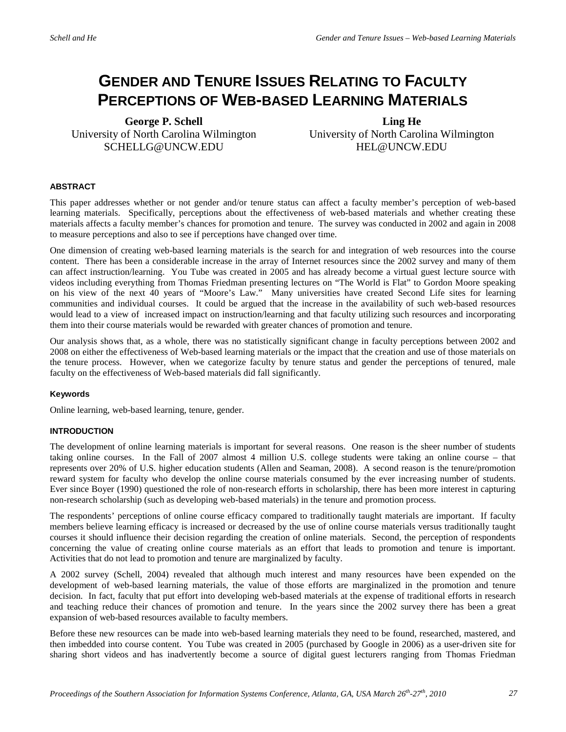## **GENDER AND TENURE ISSUES RELATING TO FACULTY PERCEPTIONS OF WEB-BASED LEARNING MATERIALS**

**George P. Schell** University of North Carolina Wilmington SCHELLG@UNCW.EDU

**Ling He** University of North Carolina Wilmington HEL@UNCW.EDU

#### **ABSTRACT**

This paper addresses whether or not gender and/or tenure status can affect a faculty member's perception of web-based learning materials. Specifically, perceptions about the effectiveness of web-based materials and whether creating these materials affects a faculty member's chances for promotion and tenure. The survey was conducted in 2002 and again in 2008 to measure perceptions and also to see if perceptions have changed over time.

One dimension of creating web-based learning materials is the search for and integration of web resources into the course content. There has been a considerable increase in the array of Internet resources since the 2002 survey and many of them can affect instruction/learning. You Tube was created in 2005 and has already become a virtual guest lecture source with videos including everything from Thomas Friedman presenting lectures on "The World is Flat" to Gordon Moore speaking on his view of the next 40 years of "Moore's Law." Many universities have created Second Life sites for learning communities and individual courses. It could be argued that the increase in the availability of such web-based resources would lead to a view of increased impact on instruction/learning and that faculty utilizing such resources and incorporating them into their course materials would be rewarded with greater chances of promotion and tenure.

Our analysis shows that, as a whole, there was no statistically significant change in faculty perceptions between 2002 and 2008 on either the effectiveness of Web-based learning materials or the impact that the creation and use of those materials on the tenure process. However, when we categorize faculty by tenure status and gender the perceptions of tenured, male faculty on the effectiveness of Web-based materials did fall significantly.

#### **Keywords**

Online learning, web-based learning, tenure, gender.

#### **INTRODUCTION**

The development of online learning materials is important for several reasons. One reason is the sheer number of students taking online courses. In the Fall of 2007 almost 4 million U.S. college students were taking an online course – that represents over 20% of U.S. higher education students (Allen and Seaman, 2008). A second reason is the tenure/promotion reward system for faculty who develop the online course materials consumed by the ever increasing number of students. Ever since Boyer (1990) questioned the role of non-research efforts in scholarship, there has been more interest in capturing non-research scholarship (such as developing web-based materials) in the tenure and promotion process.

The respondents' perceptions of online course efficacy compared to traditionally taught materials are important. If faculty members believe learning efficacy is increased or decreased by the use of online course materials versus traditionally taught courses it should influence their decision regarding the creation of online materials. Second, the perception of respondents concerning the value of creating online course materials as an effort that leads to promotion and tenure is important. Activities that do not lead to promotion and tenure are marginalized by faculty.

A 2002 survey (Schell, 2004) revealed that although much interest and many resources have been expended on the development of web-based learning materials, the value of those efforts are marginalized in the promotion and tenure decision. In fact, faculty that put effort into developing web-based materials at the expense of traditional efforts in research and teaching reduce their chances of promotion and tenure. In the years since the 2002 survey there has been a great expansion of web-based resources available to faculty members.

Before these new resources can be made into web-based learning materials they need to be found, researched, mastered, and then imbedded into course content. You Tube was created in 2005 (purchased by Google in 2006) as a user-driven site for sharing short videos and has inadvertently become a source of digital guest lecturers ranging from Thomas Friedman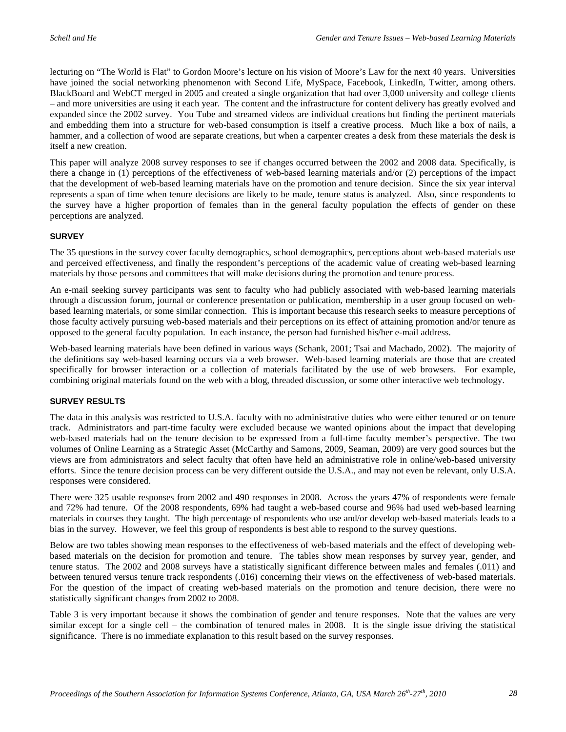lecturing on "The World is Flat" to Gordon Moore's lecture on his vision of Moore's Law for the next 40 years. Universities have joined the social networking phenomenon with Second Life, MySpace, Facebook, LinkedIn, Twitter, among others. BlackBoard and WebCT merged in 2005 and created a single organization that had over 3,000 university and college clients – and more universities are using it each year. The content and the infrastructure for content delivery has greatly evolved and expanded since the 2002 survey. You Tube and streamed videos are individual creations but finding the pertinent materials and embedding them into a structure for web-based consumption is itself a creative process. Much like a box of nails, a hammer, and a collection of wood are separate creations, but when a carpenter creates a desk from these materials the desk is itself a new creation.

This paper will analyze 2008 survey responses to see if changes occurred between the 2002 and 2008 data. Specifically, is there a change in (1) perceptions of the effectiveness of web-based learning materials and/or (2) perceptions of the impact that the development of web-based learning materials have on the promotion and tenure decision. Since the six year interval represents a span of time when tenure decisions are likely to be made, tenure status is analyzed. Also, since respondents to the survey have a higher proportion of females than in the general faculty population the effects of gender on these perceptions are analyzed.

#### **SURVEY**

The 35 questions in the survey cover faculty demographics, school demographics, perceptions about web-based materials use and perceived effectiveness, and finally the respondent's perceptions of the academic value of creating web-based learning materials by those persons and committees that will make decisions during the promotion and tenure process.

An e-mail seeking survey participants was sent to faculty who had publicly associated with web-based learning materials through a discussion forum, journal or conference presentation or publication, membership in a user group focused on webbased learning materials, or some similar connection. This is important because this research seeks to measure perceptions of those faculty actively pursuing web-based materials and their perceptions on its effect of attaining promotion and/or tenure as opposed to the general faculty population. In each instance, the person had furnished his/her e-mail address.

Web-based learning materials have been defined in various ways (Schank, 2001; Tsai and Machado, 2002). The majority of the definitions say web-based learning occurs via a web browser. Web-based learning materials are those that are created specifically for browser interaction or a collection of materials facilitated by the use of web browsers. For example, combining original materials found on the web with a blog, threaded discussion, or some other interactive web technology.

#### **SURVEY RESULTS**

The data in this analysis was restricted to U.S.A. faculty with no administrative duties who were either tenured or on tenure track. Administrators and part-time faculty were excluded because we wanted opinions about the impact that developing web-based materials had on the tenure decision to be expressed from a full-time faculty member's perspective. The two volumes of Online Learning as a Strategic Asset (McCarthy and Samons, 2009, Seaman, 2009) are very good sources but the views are from administrators and select faculty that often have held an administrative role in online/web-based university efforts. Since the tenure decision process can be very different outside the U.S.A., and may not even be relevant, only U.S.A. responses were considered.

There were 325 usable responses from 2002 and 490 responses in 2008. Across the years 47% of respondents were female and 72% had tenure. Of the 2008 respondents, 69% had taught a web-based course and 96% had used web-based learning materials in courses they taught. The high percentage of respondents who use and/or develop web-based materials leads to a bias in the survey. However, we feel this group of respondents is best able to respond to the survey questions.

Below are two tables showing mean responses to the effectiveness of web-based materials and the effect of developing webbased materials on the decision for promotion and tenure. The tables show mean responses by survey year, gender, and tenure status. The 2002 and 2008 surveys have a statistically significant difference between males and females (.011) and between tenured versus tenure track respondents (.016) concerning their views on the effectiveness of web-based materials. For the question of the impact of creating web-based materials on the promotion and tenure decision, there were no statistically significant changes from 2002 to 2008.

Table 3 is very important because it shows the combination of gender and tenure responses. Note that the values are very similar except for a single cell – the combination of tenured males in 2008. It is the single issue driving the statistical significance. There is no immediate explanation to this result based on the survey responses.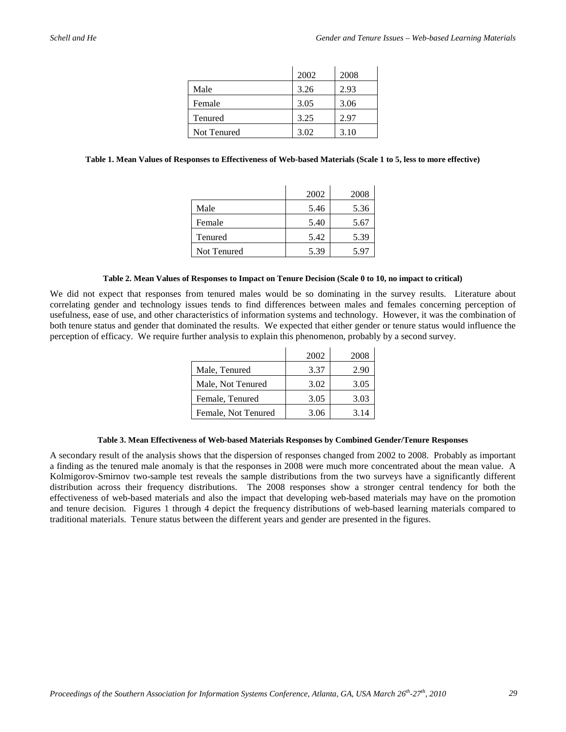|             | 2002 | 2008 |
|-------------|------|------|
| Male        | 3.26 | 2.93 |
| Female      | 3.05 | 3.06 |
| Tenured     | 3.25 | 2.97 |
| Not Tenured | 3.02 | 3.10 |

#### **Table 1. Mean Values of Responses to Effectiveness of Web-based Materials (Scale 1 to 5, less to more effective)**

|             | 2002 | 2008 |
|-------------|------|------|
| Male        | 5.46 | 5.36 |
| Female      | 5.40 | 5.67 |
| Tenured     | 5.42 | 5.39 |
| Not Tenured | 5.39 | 5.97 |

#### **Table 2. Mean Values of Responses to Impact on Tenure Decision (Scale 0 to 10, no impact to critical)**

We did not expect that responses from tenured males would be so dominating in the survey results. Literature about correlating gender and technology issues tends to find differences between males and females concerning perception of usefulness, ease of use, and other characteristics of information systems and technology. However, it was the combination of both tenure status and gender that dominated the results. We expected that either gender or tenure status would influence the perception of efficacy. We require further analysis to explain this phenomenon, probably by a second survey.

|                     | 2002 | 2008 |
|---------------------|------|------|
| Male, Tenured       | 3.37 | 2.90 |
| Male, Not Tenured   | 3.02 | 3.05 |
| Female, Tenured     | 3.05 | 3.03 |
| Female, Not Tenured | 3.06 | 3.14 |

#### **Table 3. Mean Effectiveness of Web-based Materials Responses by Combined Gender/Tenure Responses**

A secondary result of the analysis shows that the dispersion of responses changed from 2002 to 2008. Probably as important a finding as the tenured male anomaly is that the responses in 2008 were much more concentrated about the mean value. A Kolmigorov-Smirnov two-sample test reveals the sample distributions from the two surveys have a significantly different distribution across their frequency distributions. The 2008 responses show a stronger central tendency for both the effectiveness of web-based materials and also the impact that developing web-based materials may have on the promotion and tenure decision. Figures 1 through 4 depict the frequency distributions of web-based learning materials compared to traditional materials. Tenure status between the different years and gender are presented in the figures.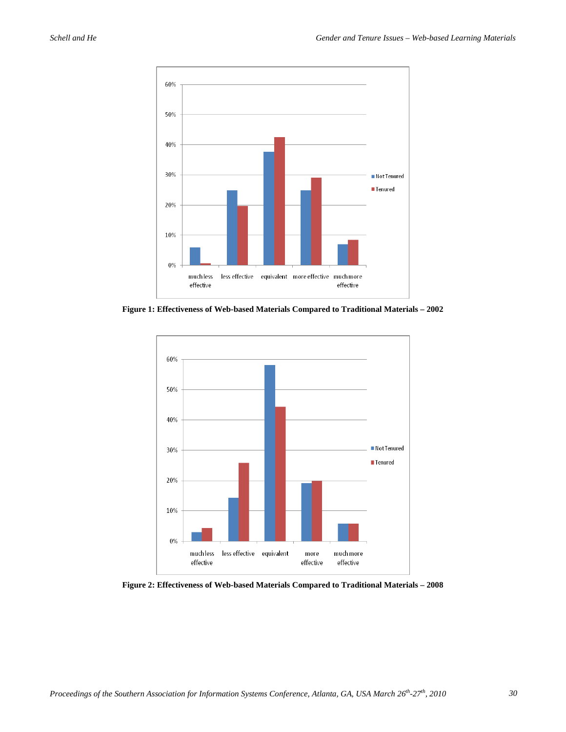

**Figure 1: Effectiveness of Web-based Materials Compared to Traditional Materials – 2002**



**Figure 2: Effectiveness of Web-based Materials Compared to Traditional Materials – 2008**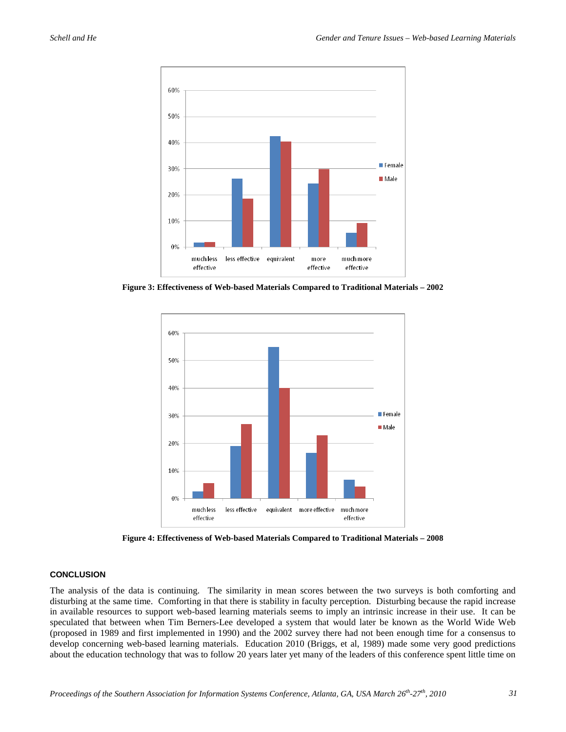

**Figure 3: Effectiveness of Web-based Materials Compared to Traditional Materials – 2002**



**Figure 4: Effectiveness of Web-based Materials Compared to Traditional Materials – 2008**

#### **CONCLUSION**

The analysis of the data is continuing. The similarity in mean scores between the two surveys is both comforting and disturbing at the same time. Comforting in that there is stability in faculty perception. Disturbing because the rapid increase in available resources to support web-based learning materials seems to imply an intrinsic increase in their use. It can be speculated that between when Tim Berners-Lee developed a system that would later be known as the World Wide Web (proposed in 1989 and first implemented in 1990) and the 2002 survey there had not been enough time for a consensus to develop concerning web-based learning materials. Education 2010 (Briggs, et al, 1989) made some very good predictions about the education technology that was to follow 20 years later yet many of the leaders of this conference spent little time on